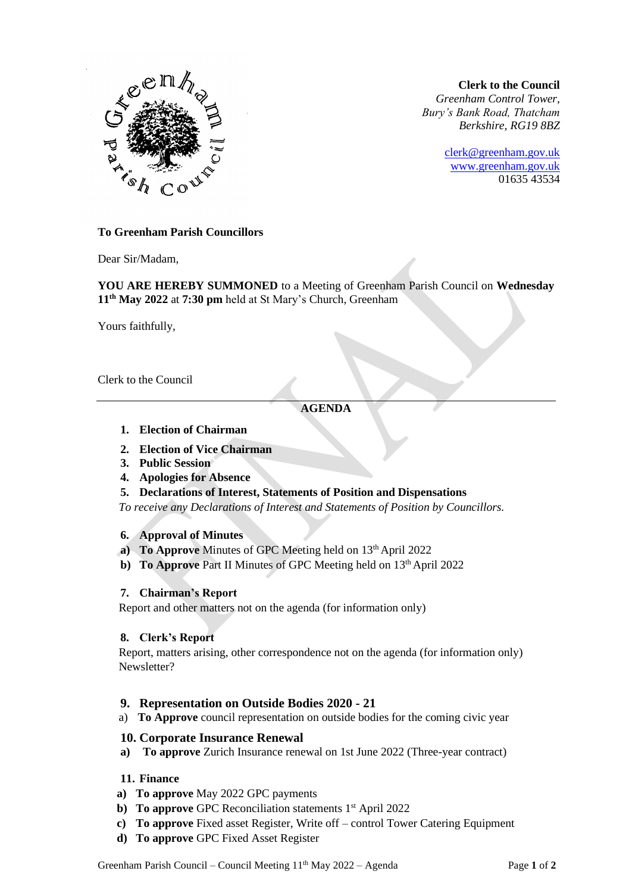#### **Clerk to the Council**

*Greenham Control Tower, Bury's Bank Road, Thatcham Berkshire, RG19 8BZ*

> [clerk@greenham.gov.uk](mailto:clerk@greenham.gov.uk) [www.greenham.gov.uk](http://www.greenham.gov.uk/) 01635 43534



#### **To Greenham Parish Councillors**

Dear Sir/Madam,

**YOU ARE HEREBY SUMMONED** to a Meeting of Greenham Parish Council on **Wednesday 11th May 2022** at **7:30 pm** held at St Mary's Church, Greenham

Yours faithfully,

Clerk to the Council

# **AGENDA**

- **1. Election of Chairman**
- **2. Election of Vice Chairman**
- **3. Public Session**
- **4. Apologies for Absence**
- **5. Declarations of Interest, Statements of Position and Dispensations**

*To receive any Declarations of Interest and Statements of Position by Councillors.* 

### **6. Approval of Minutes**

- **a)** To Approve Minutes of GPC Meeting held on 13<sup>th</sup> April 2022
- **b)** To Approve Part II Minutes of GPC Meeting held on 13<sup>th</sup> April 2022

### **7. Chairman's Report**

Report and other matters not on the agenda (for information only)

### **8. Clerk's Report**

Report, matters arising, other correspondence not on the agenda (for information only) Newsletter?

# **9. Representation on Outside Bodies 2020 - 21**

a) **To Approve** council representation on outside bodies for the coming civic year

### **10. Corporate Insurance Renewal**

**a) To approve** Zurich Insurance renewal on 1st June 2022 (Three-year contract)

# **11. Finance**

- **a) To approve** May 2022 GPC payments
- **b)** To approve GPC Reconciliation statements 1<sup>st</sup> April 2022
- **c) To approve** Fixed asset Register, Write off control Tower Catering Equipment
- **d) To approve** GPC Fixed Asset Register